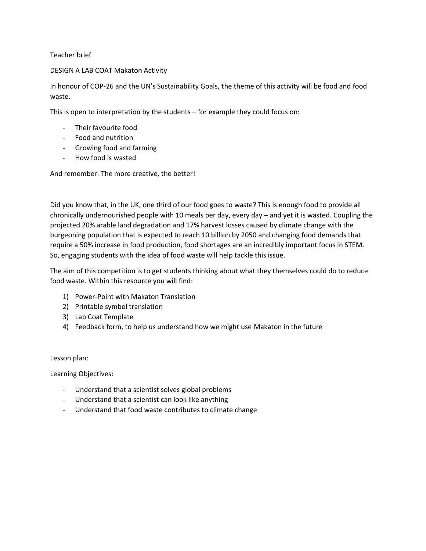Teacher brief

## DESIGN A LAB COAT Makaton Activity

In honour of COP-26 and the UN's Sustainability Goals, the theme of this activity will be food and food waste.

This is open to interpretation by the students – for example they could focus on:

- Their favourite food
- Food and nutrition
- Growing food and farming
- How food is wasted

And remember: The more creative, the better!

Did you know that, in the UK, one third of our food goes to waste? This is enough food to provide all chronically undernourished people with 10 meals per day, every day – and yet it is wasted. Coupling the projected 20% arable land degradation and 17% harvest losses caused by climate change with the burgeoning population that is expected to reach 10 billion by 2050 and changing food demands that require a 50% increase in food production, food shortages are an incredibly important focus in STEM. So, engaging students with the idea of food waste will help tackle this issue.

The aim of this competition is to get students thinking about what they themselves could do to reduce food waste. Within this resource you will find:

- 1) Power-Point with Makaton Translation
- 2) Printable symbol translation
- 3) Lab Coat Template
- 4) Feedback form, to help us understand how we might use Makaton in the future

## Lesson plan:

Learning Objectives:

- Understand that a scientist solves global problems
- Understand that a scientist can look like anything
- Understand that food waste contributes to climate change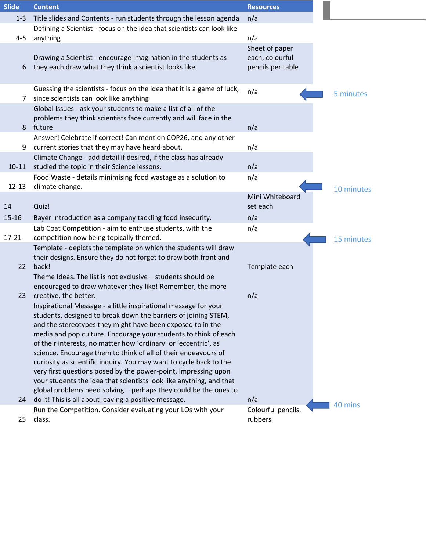| <b>Slide</b> | <b>Content</b>                                                                                                                                                                                                                                                                                                                                                                                                                                                                                                                                                                                                                                                                                                                                                                                                                                                                                                                                                                                 | <b>Resources</b>                                       |            |
|--------------|------------------------------------------------------------------------------------------------------------------------------------------------------------------------------------------------------------------------------------------------------------------------------------------------------------------------------------------------------------------------------------------------------------------------------------------------------------------------------------------------------------------------------------------------------------------------------------------------------------------------------------------------------------------------------------------------------------------------------------------------------------------------------------------------------------------------------------------------------------------------------------------------------------------------------------------------------------------------------------------------|--------------------------------------------------------|------------|
| $1 - 3$      | Title slides and Contents - run students through the lesson agenda                                                                                                                                                                                                                                                                                                                                                                                                                                                                                                                                                                                                                                                                                                                                                                                                                                                                                                                             | n/a                                                    |            |
|              | Defining a Scientist - focus on the idea that scientists can look like                                                                                                                                                                                                                                                                                                                                                                                                                                                                                                                                                                                                                                                                                                                                                                                                                                                                                                                         |                                                        |            |
| $4 - 5$      | anything                                                                                                                                                                                                                                                                                                                                                                                                                                                                                                                                                                                                                                                                                                                                                                                                                                                                                                                                                                                       | n/a                                                    |            |
| 6            | Drawing a Scientist - encourage imagination in the students as<br>they each draw what they think a scientist looks like                                                                                                                                                                                                                                                                                                                                                                                                                                                                                                                                                                                                                                                                                                                                                                                                                                                                        | Sheet of paper<br>each, colourful<br>pencils per table |            |
| 7            | Guessing the scientists - focus on the idea that it is a game of luck,<br>since scientists can look like anything                                                                                                                                                                                                                                                                                                                                                                                                                                                                                                                                                                                                                                                                                                                                                                                                                                                                              | n/a                                                    | 5 minutes  |
| 8            | Global Issues - ask your students to make a list of all of the<br>problems they think scientists face currently and will face in the<br>future                                                                                                                                                                                                                                                                                                                                                                                                                                                                                                                                                                                                                                                                                                                                                                                                                                                 | n/a                                                    |            |
| 9            | Answer! Celebrate if correct! Can mention COP26, and any other<br>current stories that they may have heard about.                                                                                                                                                                                                                                                                                                                                                                                                                                                                                                                                                                                                                                                                                                                                                                                                                                                                              | n/a                                                    |            |
| $10 - 11$    | Climate Change - add detail if desired, if the class has already<br>studied the topic in their Science lessons.                                                                                                                                                                                                                                                                                                                                                                                                                                                                                                                                                                                                                                                                                                                                                                                                                                                                                | n/a                                                    |            |
| $12 - 13$    | Food Waste - details minimising food wastage as a solution to<br>climate change.                                                                                                                                                                                                                                                                                                                                                                                                                                                                                                                                                                                                                                                                                                                                                                                                                                                                                                               | n/a                                                    | 10 minutes |
| 14           | Quiz!                                                                                                                                                                                                                                                                                                                                                                                                                                                                                                                                                                                                                                                                                                                                                                                                                                                                                                                                                                                          | Mini Whiteboard<br>set each                            |            |
| $15 - 16$    | Bayer Introduction as a company tackling food insecurity.                                                                                                                                                                                                                                                                                                                                                                                                                                                                                                                                                                                                                                                                                                                                                                                                                                                                                                                                      | n/a                                                    |            |
| $17 - 21$    | Lab Coat Competition - aim to enthuse students, with the<br>competition now being topically themed.                                                                                                                                                                                                                                                                                                                                                                                                                                                                                                                                                                                                                                                                                                                                                                                                                                                                                            | n/a                                                    | 15 minutes |
| 22<br>23     | Template - depicts the template on which the students will draw<br>their designs. Ensure they do not forget to draw both front and<br>back!<br>Theme Ideas. The list is not exclusive - students should be<br>encouraged to draw whatever they like! Remember, the more<br>creative, the better.<br>Inspirational Message - a little inspirational message for your<br>students, designed to break down the barriers of joining STEM,<br>and the stereotypes they might have been exposed to in the<br>media and pop culture. Encourage your students to think of each<br>of their interests, no matter how 'ordinary' or 'eccentric', as<br>science. Encourage them to think of all of their endeavours of<br>curiosity as scientific inquiry. You may want to cycle back to the<br>very first questions posed by the power-point, impressing upon<br>your students the idea that scientists look like anything, and that<br>global problems need solving - perhaps they could be the ones to | Template each<br>n/a                                   |            |
| 24           | do it! This is all about leaving a positive message.<br>Run the Competition. Consider evaluating your LOs with your                                                                                                                                                                                                                                                                                                                                                                                                                                                                                                                                                                                                                                                                                                                                                                                                                                                                            | n/a<br>Colourful pencils,                              | 40 mins    |
| 25           | class.                                                                                                                                                                                                                                                                                                                                                                                                                                                                                                                                                                                                                                                                                                                                                                                                                                                                                                                                                                                         | rubbers                                                |            |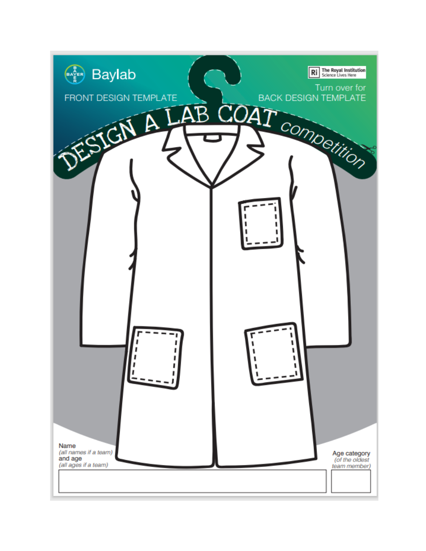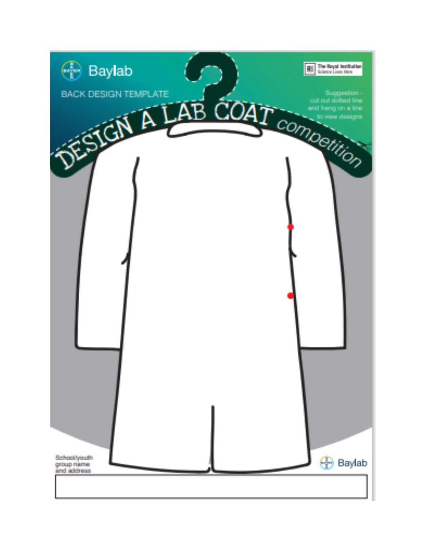